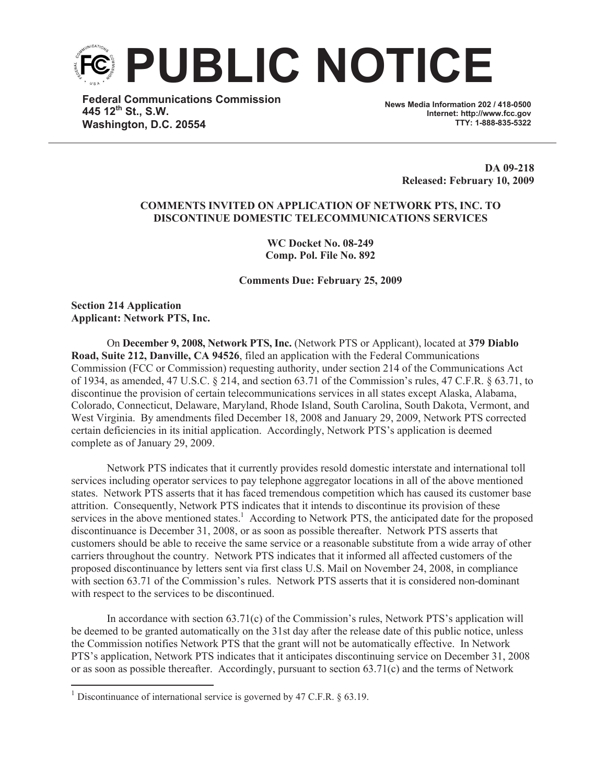

**Federal Communications Commission 445 12th St., S.W. Washington, D.C. 20554**

**News Media Information 202 / 418-0500 Internet: http://www.fcc.gov TTY: 1-888-835-5322**

> **DA 09-218 Released: February 10, 2009**

## **COMMENTS INVITED ON APPLICATION OF NETWORK PTS, INC. TO DISCONTINUE DOMESTIC TELECOMMUNICATIONS SERVICES**

**WC Docket No. 08-249 Comp. Pol. File No. 892**

**Comments Due: February 25, 2009**

**Section 214 Application Applicant: Network PTS, Inc.**

On **December 9, 2008, Network PTS, Inc.** (Network PTS or Applicant), located at **379 Diablo Road, Suite 212, Danville, CA 94526**, filed an application with the Federal Communications Commission (FCC or Commission) requesting authority, under section 214 of the Communications Act of 1934, as amended, 47 U.S.C. § 214, and section 63.71 of the Commission's rules, 47 C.F.R. § 63.71, to discontinue the provision of certain telecommunications services in all states except Alaska, Alabama, Colorado, Connecticut, Delaware, Maryland, Rhode Island, South Carolina, South Dakota, Vermont, and West Virginia. By amendments filed December 18, 2008 and January 29, 2009, Network PTS corrected certain deficiencies in its initial application. Accordingly, Network PTS's application is deemed complete as of January 29, 2009.

Network PTS indicates that it currently provides resold domestic interstate and international toll services including operator services to pay telephone aggregator locations in all of the above mentioned states. Network PTS asserts that it has faced tremendous competition which has caused its customer base attrition. Consequently, Network PTS indicates that it intends to discontinue its provision of these services in the above mentioned states.<sup>1</sup> According to Network PTS, the anticipated date for the proposed discontinuance is December 31, 2008, or as soon as possible thereafter. Network PTS asserts that customers should be able to receive the same service or a reasonable substitute from a wide array of other carriers throughout the country. Network PTS indicates that it informed all affected customers of the proposed discontinuance by letters sent via first class U.S. Mail on November 24, 2008, in compliance with section 63.71 of the Commission's rules. Network PTS asserts that it is considered non-dominant with respect to the services to be discontinued.

In accordance with section 63.71(c) of the Commission's rules, Network PTS's application will be deemed to be granted automatically on the 31st day after the release date of this public notice, unless the Commission notifies Network PTS that the grant will not be automatically effective. In Network PTS's application, Network PTS indicates that it anticipates discontinuing service on December 31, 2008 or as soon as possible thereafter. Accordingly, pursuant to section 63.71(c) and the terms of Network

<sup>&</sup>lt;sup>1</sup> Discontinuance of international service is governed by 47 C.F.R.  $\S$  63.19.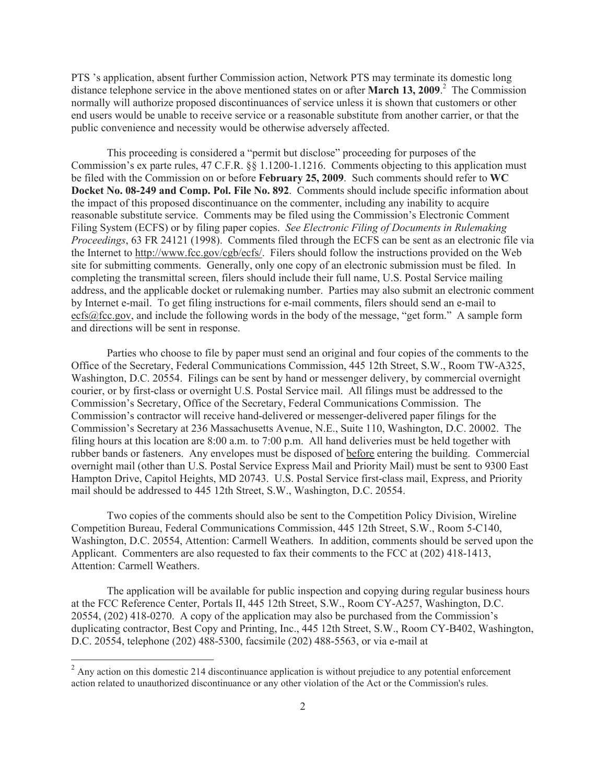PTS 's application, absent further Commission action, Network PTS may terminate its domestic long distance telephone service in the above mentioned states on or after **March 13, 2009**. <sup>2</sup> The Commission normally will authorize proposed discontinuances of service unless it is shown that customers or other end users would be unable to receive service or a reasonable substitute from another carrier, or that the public convenience and necessity would be otherwise adversely affected.

This proceeding is considered a "permit but disclose" proceeding for purposes of the Commission's ex parte rules, 47 C.F.R. §§ 1.1200-1.1216. Comments objecting to this application must be filed with the Commission on or before **February 25, 2009**. Such comments should refer to **WC Docket No. 08-249 and Comp. Pol. File No. 892**. Comments should include specific information about the impact of this proposed discontinuance on the commenter, including any inability to acquire reasonable substitute service. Comments may be filed using the Commission's Electronic Comment Filing System (ECFS) or by filing paper copies. *See Electronic Filing of Documents in Rulemaking Proceedings*, 63 FR 24121 (1998). Comments filed through the ECFS can be sent as an electronic file via the Internet to http://www.fcc.gov/cgb/ecfs/. Filers should follow the instructions provided on the Web site for submitting comments. Generally, only one copy of an electronic submission must be filed. In completing the transmittal screen, filers should include their full name, U.S. Postal Service mailing address, and the applicable docket or rulemaking number. Parties may also submit an electronic comment by Internet e-mail. To get filing instructions for e-mail comments, filers should send an e-mail to ecfs@fcc.gov, and include the following words in the body of the message, "get form." A sample form and directions will be sent in response.

Parties who choose to file by paper must send an original and four copies of the comments to the Office of the Secretary, Federal Communications Commission, 445 12th Street, S.W., Room TW-A325, Washington, D.C. 20554. Filings can be sent by hand or messenger delivery, by commercial overnight courier, or by first-class or overnight U.S. Postal Service mail. All filings must be addressed to the Commission's Secretary, Office of the Secretary, Federal Communications Commission. The Commission's contractor will receive hand-delivered or messenger-delivered paper filings for the Commission's Secretary at 236 Massachusetts Avenue, N.E., Suite 110, Washington, D.C. 20002. The filing hours at this location are 8:00 a.m. to 7:00 p.m. All hand deliveries must be held together with rubber bands or fasteners. Any envelopes must be disposed of before entering the building. Commercial overnight mail (other than U.S. Postal Service Express Mail and Priority Mail) must be sent to 9300 East Hampton Drive, Capitol Heights, MD 20743. U.S. Postal Service first-class mail, Express, and Priority mail should be addressed to 445 12th Street, S.W., Washington, D.C. 20554.

Two copies of the comments should also be sent to the Competition Policy Division, Wireline Competition Bureau, Federal Communications Commission, 445 12th Street, S.W., Room 5-C140, Washington, D.C. 20554, Attention: Carmell Weathers. In addition, comments should be served upon the Applicant. Commenters are also requested to fax their comments to the FCC at (202) 418-1413, Attention: Carmell Weathers.

The application will be available for public inspection and copying during regular business hours at the FCC Reference Center, Portals II, 445 12th Street, S.W., Room CY-A257, Washington, D.C. 20554, (202) 418-0270. A copy of the application may also be purchased from the Commission's duplicating contractor, Best Copy and Printing, Inc., 445 12th Street, S.W., Room CY-B402, Washington, D.C. 20554, telephone (202) 488-5300, facsimile (202) 488-5563, or via e-mail at

<sup>&</sup>lt;sup>2</sup> Any action on this domestic 214 discontinuance application is without prejudice to any potential enforcement action related to unauthorized discontinuance or any other violation of the Act or the Commission's rules.